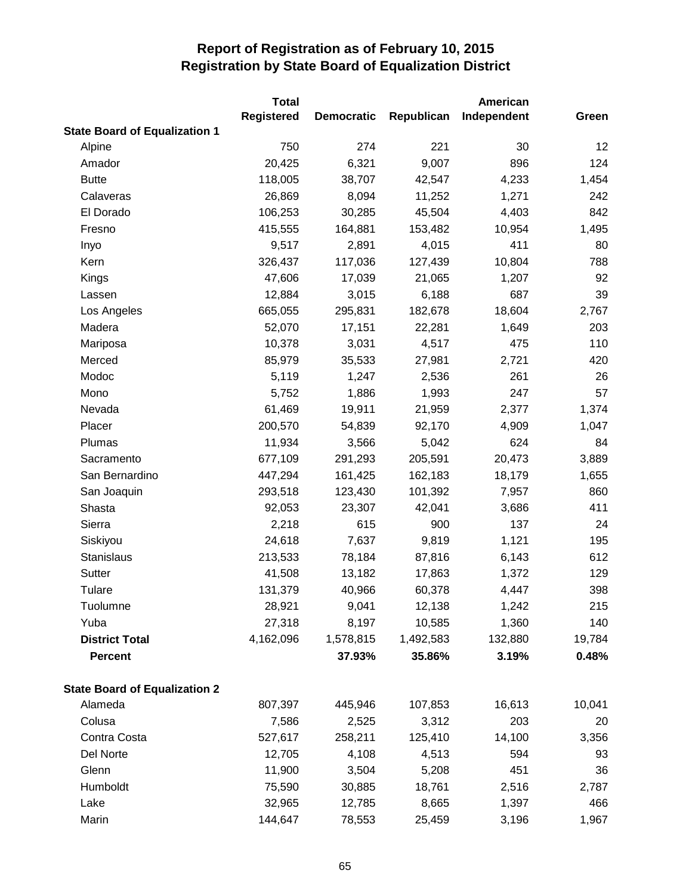|                                      | <b>Total</b>      |                   |            | American    |        |
|--------------------------------------|-------------------|-------------------|------------|-------------|--------|
|                                      | <b>Registered</b> | <b>Democratic</b> | Republican | Independent | Green  |
| <b>State Board of Equalization 1</b> |                   |                   |            |             |        |
| Alpine                               | 750               | 274               | 221        | 30          | 12     |
| Amador                               | 20,425            | 6,321             | 9,007      | 896         | 124    |
| <b>Butte</b>                         | 118,005           | 38,707            | 42,547     | 4,233       | 1,454  |
| Calaveras                            | 26,869            | 8,094             | 11,252     | 1,271       | 242    |
| El Dorado                            | 106,253           | 30,285            | 45,504     | 4,403       | 842    |
| Fresno                               | 415,555           | 164,881           | 153,482    | 10,954      | 1,495  |
| Inyo                                 | 9,517             | 2,891             | 4,015      | 411         | 80     |
| Kern                                 | 326,437           | 117,036           | 127,439    | 10,804      | 788    |
| Kings                                | 47,606            | 17,039            | 21,065     | 1,207       | 92     |
| Lassen                               | 12,884            | 3,015             | 6,188      | 687         | 39     |
| Los Angeles                          | 665,055           | 295,831           | 182,678    | 18,604      | 2,767  |
| Madera                               | 52,070            | 17,151            | 22,281     | 1,649       | 203    |
| Mariposa                             | 10,378            | 3,031             | 4,517      | 475         | 110    |
| Merced                               | 85,979            | 35,533            | 27,981     | 2,721       | 420    |
| Modoc                                | 5,119             | 1,247             | 2,536      | 261         | 26     |
| Mono                                 | 5,752             | 1,886             | 1,993      | 247         | 57     |
| Nevada                               | 61,469            | 19,911            | 21,959     | 2,377       | 1,374  |
| Placer                               | 200,570           | 54,839            | 92,170     | 4,909       | 1,047  |
| Plumas                               | 11,934            | 3,566             | 5,042      | 624         | 84     |
| Sacramento                           | 677,109           | 291,293           | 205,591    | 20,473      | 3,889  |
| San Bernardino                       | 447,294           | 161,425           | 162,183    | 18,179      | 1,655  |
| San Joaquin                          | 293,518           | 123,430           | 101,392    | 7,957       | 860    |
| Shasta                               | 92,053            | 23,307            | 42,041     | 3,686       | 411    |
| Sierra                               | 2,218             | 615               | 900        | 137         | 24     |
| Siskiyou                             | 24,618            | 7,637             | 9,819      | 1,121       | 195    |
| Stanislaus                           | 213,533           | 78,184            | 87,816     | 6,143       | 612    |
| Sutter                               | 41,508            | 13,182            | 17,863     | 1,372       | 129    |
| Tulare                               | 131,379           | 40,966            | 60,378     | 4,447       | 398    |
| Tuolumne                             | 28,921            | 9,041             | 12,138     | 1,242       | 215    |
| Yuba                                 | 27,318            | 8,197             | 10,585     | 1,360       | 140    |
| <b>District Total</b>                | 4,162,096         | 1,578,815         | 1,492,583  | 132,880     | 19,784 |
| <b>Percent</b>                       |                   | 37.93%            | 35.86%     | 3.19%       | 0.48%  |
| <b>State Board of Equalization 2</b> |                   |                   |            |             |        |
| Alameda                              | 807,397           | 445,946           | 107,853    | 16,613      | 10,041 |
| Colusa                               | 7,586             | 2,525             | 3,312      | 203         | 20     |
| Contra Costa                         | 527,617           | 258,211           | 125,410    | 14,100      | 3,356  |
| Del Norte                            | 12,705            | 4,108             | 4,513      | 594         | 93     |
| Glenn                                | 11,900            | 3,504             | 5,208      | 451         | 36     |
| Humboldt                             | 75,590            | 30,885            | 18,761     | 2,516       | 2,787  |
| Lake                                 | 32,965            | 12,785            | 8,665      | 1,397       | 466    |
| Marin                                | 144,647           | 78,553            | 25,459     | 3,196       | 1,967  |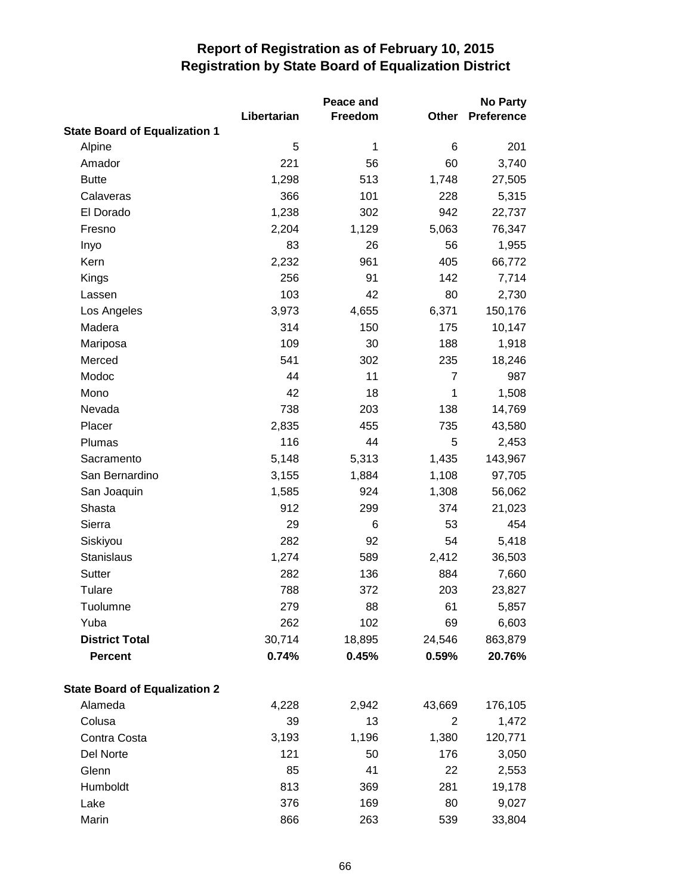|                                      |             | Peace and |                | <b>No Party</b>   |
|--------------------------------------|-------------|-----------|----------------|-------------------|
|                                      | Libertarian | Freedom   | Other          | <b>Preference</b> |
| <b>State Board of Equalization 1</b> |             |           |                |                   |
| Alpine                               | 5           | 1         | 6              | 201               |
| Amador                               | 221         | 56        | 60             | 3,740             |
| <b>Butte</b>                         | 1,298       | 513       | 1,748          | 27,505            |
| Calaveras                            | 366         | 101       | 228            | 5,315             |
| El Dorado                            | 1,238       | 302       | 942            | 22,737            |
| Fresno                               | 2,204       | 1,129     | 5,063          | 76,347            |
| Inyo                                 | 83          | 26        | 56             | 1,955             |
| Kern                                 | 2,232       | 961       | 405            | 66,772            |
| Kings                                | 256         | 91        | 142            | 7,714             |
| Lassen                               | 103         | 42        | 80             | 2,730             |
| Los Angeles                          | 3,973       | 4,655     | 6,371          | 150,176           |
| Madera                               | 314         | 150       | 175            | 10,147            |
| Mariposa                             | 109         | 30        | 188            | 1,918             |
| Merced                               | 541         | 302       | 235            | 18,246            |
| Modoc                                | 44          | 11        | $\overline{7}$ | 987               |
| Mono                                 | 42          | 18        | 1              | 1,508             |
| Nevada                               | 738         | 203       | 138            | 14,769            |
| Placer                               | 2,835       | 455       | 735            | 43,580            |
| Plumas                               | 116         | 44        | 5              | 2,453             |
| Sacramento                           | 5,148       | 5,313     | 1,435          | 143,967           |
| San Bernardino                       | 3,155       | 1,884     | 1,108          | 97,705            |
| San Joaquin                          | 1,585       | 924       | 1,308          | 56,062            |
| Shasta                               | 912         | 299       | 374            | 21,023            |
| Sierra                               | 29          | 6         | 53             | 454               |
| Siskiyou                             | 282         | 92        | 54             | 5,418             |
| <b>Stanislaus</b>                    | 1,274       | 589       | 2,412          | 36,503            |
| Sutter                               | 282         | 136       | 884            | 7,660             |
| Tulare                               | 788         | 372       | 203            | 23,827            |
| Tuolumne                             | 279         | 88        | 61             | 5,857             |
| Yuba                                 | 262         | 102       | 69             | 6,603             |
| <b>District Total</b>                | 30,714      | 18,895    | 24,546         | 863,879           |
| <b>Percent</b>                       | 0.74%       | 0.45%     | 0.59%          | 20.76%            |
| <b>State Board of Equalization 2</b> |             |           |                |                   |
| Alameda                              | 4,228       | 2,942     | 43,669         | 176,105           |
| Colusa                               | 39          | 13        | 2              | 1,472             |
| Contra Costa                         | 3,193       | 1,196     | 1,380          | 120,771           |
| Del Norte                            | 121         | 50        | 176            | 3,050             |
| Glenn                                | 85          | 41        | 22             | 2,553             |
| Humboldt                             | 813         | 369       | 281            | 19,178            |
| Lake                                 | 376         | 169       | 80             | 9,027             |
| Marin                                | 866         | 263       | 539            | 33,804            |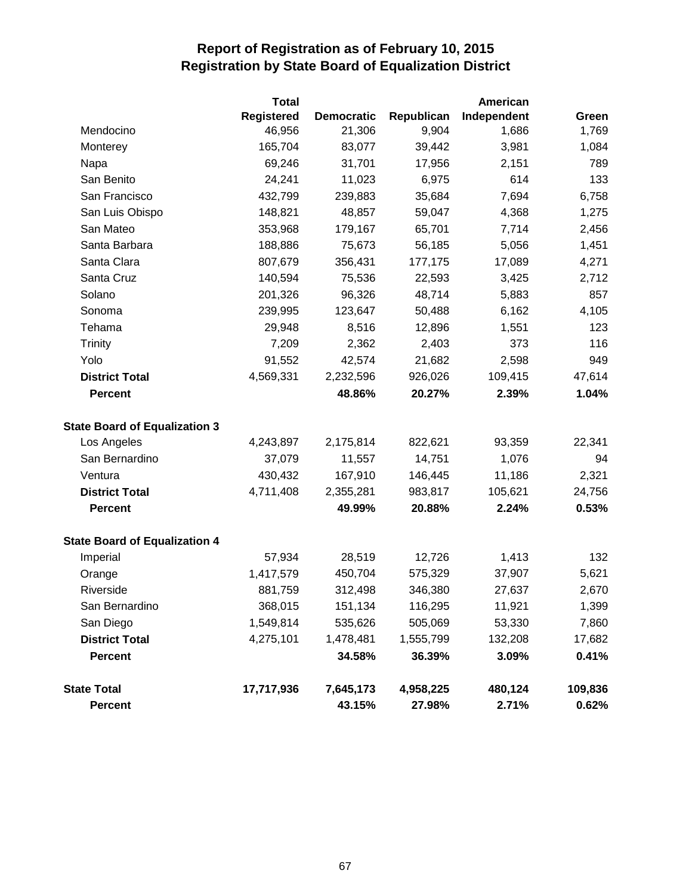|                                      | <b>Total</b>      |                   |            | <b>American</b> |         |  |
|--------------------------------------|-------------------|-------------------|------------|-----------------|---------|--|
|                                      | <b>Registered</b> | <b>Democratic</b> | Republican | Independent     | Green   |  |
| Mendocino                            | 46,956            | 21,306            | 9,904      | 1,686           | 1,769   |  |
| Monterey                             | 165,704           | 83,077            | 39,442     | 3,981           | 1,084   |  |
| Napa                                 | 69,246            | 31,701            | 17,956     | 2,151           | 789     |  |
| San Benito                           | 24,241            | 11,023            | 6,975      | 614             | 133     |  |
| San Francisco                        | 432,799           | 239,883           | 35,684     | 7,694           | 6,758   |  |
| San Luis Obispo                      | 148,821           | 48,857            | 59,047     | 4,368           | 1,275   |  |
| San Mateo                            | 353,968           | 179,167           | 65,701     | 7,714           | 2,456   |  |
| Santa Barbara                        | 188,886           | 75,673            | 56,185     | 5,056           | 1,451   |  |
| Santa Clara                          | 807,679           | 356,431           | 177,175    | 17,089          | 4,271   |  |
| Santa Cruz                           | 140,594           | 75,536            | 22,593     | 3,425           | 2,712   |  |
| Solano                               | 201,326           | 96,326            | 48,714     | 5,883           | 857     |  |
| Sonoma                               | 239,995           | 123,647           | 50,488     | 6,162           | 4,105   |  |
| Tehama                               | 29,948            | 8,516             | 12,896     | 1,551           | 123     |  |
| <b>Trinity</b>                       | 7,209             | 2,362             | 2,403      | 373             | 116     |  |
| Yolo                                 | 91,552            | 42,574            | 21,682     | 2,598           | 949     |  |
| <b>District Total</b>                | 4,569,331         | 2,232,596         | 926,026    | 109,415         | 47,614  |  |
| <b>Percent</b>                       |                   | 48.86%            | 20.27%     | 2.39%           | 1.04%   |  |
| <b>State Board of Equalization 3</b> |                   |                   |            |                 |         |  |
| Los Angeles                          | 4,243,897         | 2,175,814         | 822,621    | 93,359          | 22,341  |  |
| San Bernardino                       | 37,079            | 11,557            | 14,751     | 1,076           | 94      |  |
| Ventura                              | 430,432           | 167,910           | 146,445    | 11,186          | 2,321   |  |
| <b>District Total</b>                | 4,711,408         | 2,355,281         | 983,817    | 105,621         | 24,756  |  |
| <b>Percent</b>                       |                   | 49.99%            | 20.88%     | 2.24%           | 0.53%   |  |
| <b>State Board of Equalization 4</b> |                   |                   |            |                 |         |  |
| Imperial                             | 57,934            | 28,519            | 12,726     | 1,413           | 132     |  |
| Orange                               | 1,417,579         | 450,704           | 575,329    | 37,907          | 5,621   |  |
| Riverside                            | 881,759           | 312,498           | 346,380    | 27,637          | 2,670   |  |
| San Bernardino                       | 368,015           | 151,134           | 116,295    | 11,921          | 1,399   |  |
| San Diego                            | 1,549,814         | 535,626           | 505,069    | 53,330          | 7,860   |  |
| <b>District Total</b>                | 4,275,101         | 1,478,481         | 1,555,799  | 132,208         | 17,682  |  |
| <b>Percent</b>                       |                   | 34.58%            | 36.39%     | 3.09%           | 0.41%   |  |
| <b>State Total</b>                   | 17,717,936        | 7,645,173         | 4,958,225  | 480,124         | 109,836 |  |
| <b>Percent</b>                       |                   | 43.15%            | 27.98%     | 2.71%           | 0.62%   |  |